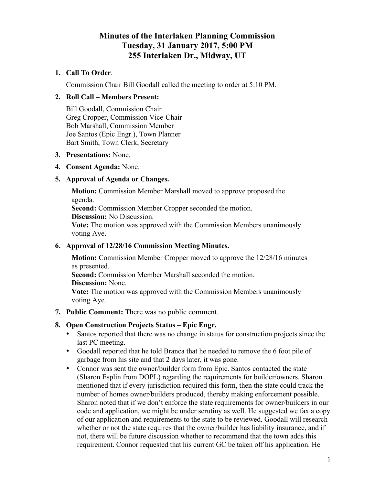# **Minutes of the Interlaken Planning Commission Tuesday, 31 January 2017, 5:00 PM 255 Interlaken Dr., Midway, UT**

## **1. Call To Order**.

Commission Chair Bill Goodall called the meeting to order at 5:10 PM.

## **2. Roll Call – Members Present:**

Bill Goodall, Commission Chair Greg Cropper, Commission Vice-Chair Bob Marshall, Commission Member Joe Santos (Epic Engr.), Town Planner Bart Smith, Town Clerk, Secretary

#### **3. Presentations:** None.

#### **4. Consent Agenda:** None.

#### **5. Approval of Agenda or Changes.**

**Motion:** Commission Member Marshall moved to approve proposed the agenda.

**Second:** Commission Member Cropper seconded the motion.

**Discussion:** No Discussion.

**Vote:** The motion was approved with the Commission Members unanimously voting Aye.

#### **6. Approval of 12/28/16 Commission Meeting Minutes.**

**Motion:** Commission Member Cropper moved to approve the 12/28/16 minutes as presented.

**Second:** Commission Member Marshall seconded the motion.

**Discussion:** None.

**Vote:** The motion was approved with the Commission Members unanimously voting Aye.

**7. Public Comment:** There was no public comment.

#### **8. Open Construction Projects Status – Epic Engr.**

- Santos reported that there was no change in status for construction projects since the last PC meeting.
- Goodall reported that he told Branca that he needed to remove the 6 foot pile of garbage from his site and that 2 days later, it was gone.
- Connor was sent the owner/builder form from Epic. Santos contacted the state (Sharon Esplin from DOPL) regarding the requirements for builder/owners. Sharon mentioned that if every jurisdiction required this form, then the state could track the number of homes owner/builders produced, thereby making enforcement possible. Sharon noted that if we don't enforce the state requirements for owner/builders in our code and application, we might be under scrutiny as well. He suggested we fax a copy of our application and requirements to the state to be reviewed. Goodall will research whether or not the state requires that the owner/builder has liability insurance, and if not, there will be future discussion whether to recommend that the town adds this requirement. Connor requested that his current GC be taken off his application. He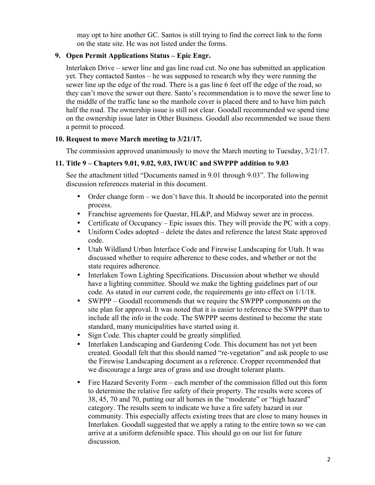may opt to hire another GC. Santos is still trying to find the correct link to the form on the state site. He was not listed under the forms.

## **9. Open Permit Applications Status – Epic Engr.**

Interlaken Drive – sewer line and gas line road cut. No one has submitted an application yet. They contacted Santos – he was supposed to research why they were running the sewer line up the edge of the road. There is a gas line 6 feet off the edge of the road, so they can't move the sewer out there. Santo's recommendation is to move the sewer line to the middle of the traffic lane so the manhole cover is placed there and to have him patch half the road. The ownership issue is still not clear. Goodall recommended we spend time on the ownership issue later in Other Business. Goodall also recommended we issue them a permit to proceed.

#### **10. Request to move March meeting to 3/21/17.**

The commission approved unanimously to move the March meeting to Tuesday, 3/21/17.

## **11. Title 9 – Chapters 9.01, 9.02, 9.03, IWUIC and SWPPP addition to 9.03**

See the attachment titled "Documents named in 9.01 through 9.03". The following discussion references material in this document.

- Order change form we don't have this. It should be incorporated into the permit process.
- Franchise agreements for Questar, HL&P, and Midway sewer are in process.
- Certificate of Occupancy Epic issues this. They will provide the PC with a copy.
- Uniform Codes adopted delete the dates and reference the latest State approved code.
- Utah Wildland Urban Interface Code and Firewise Landscaping for Utah. It was discussed whether to require adherence to these codes, and whether or not the state requires adherence.
- Interlaken Town Lighting Specifications. Discussion about whether we should have a lighting committee. Should we make the lighting guidelines part of our code. As stated in our current code, the requirements go into effect on 1/1/18.
- SWPPP Goodall recommends that we require the SWPPP components on the site plan for approval. It was noted that it is easier to reference the SWPPP than to include all the info in the code. The SWPPP seems destined to become the state standard, many municipalities have started using it.
- Sign Code. This chapter could be greatly simplified.
- Interlaken Landscaping and Gardening Code. This document has not vet been created. Goodall felt that this should named "re-vegetation" and ask people to use the Firewise Landscaping document as a reference. Cropper recommended that we discourage a large area of grass and use drought tolerant plants.
- Fire Hazard Severity Form each member of the commission filled out this form to determine the relative fire safety of their property. The results were scores of 38, 45, 70 and 70, putting our all homes in the "moderate" or "high hazard" category. The results seem to indicate we have a fire safety hazard in our community. This especially affects existing trees that are close to many houses in Interlaken. Goodall suggested that we apply a rating to the entire town so we can arrive at a uniform defensible space. This should go on our list for future discussion.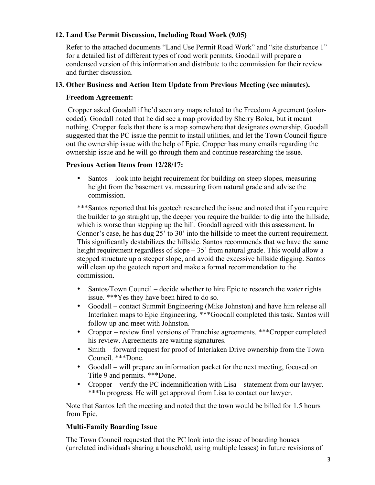## **12. Land Use Permit Discussion, Including Road Work (9.05)**

Refer to the attached documents "Land Use Permit Road Work" and "site disturbance 1" for a detailed list of different types of road work permits. Goodall will prepare a condensed version of this information and distribute to the commission for their review and further discussion.

## **13. Other Business and Action Item Update from Previous Meeting (see minutes).**

## **Freedom Agreement:**

Cropper asked Goodall if he'd seen any maps related to the Freedom Agreement (colorcoded). Goodall noted that he did see a map provided by Sherry Bolca, but it meant nothing. Cropper feels that there is a map somewhere that designates ownership. Goodall suggested that the PC issue the permit to install utilities, and let the Town Council figure out the ownership issue with the help of Epic. Cropper has many emails regarding the ownership issue and he will go through them and continue researching the issue.

#### **Previous Action Items from 12/28/17:**

• Santos – look into height requirement for building on steep slopes, measuring height from the basement vs. measuring from natural grade and advise the commission.

\*\*\*Santos reported that his geotech researched the issue and noted that if you require the builder to go straight up, the deeper you require the builder to dig into the hillside, which is worse than stepping up the hill. Goodall agreed with this assessment. In Connor's case, he has dug 25' to 30' into the hillside to meet the current requirement. This significantly destabilizes the hillside. Santos recommends that we have the same height requirement regardless of slope – 35' from natural grade. This would allow a stepped structure up a steeper slope, and avoid the excessive hillside digging. Santos will clean up the geotech report and make a formal recommendation to the commission.

- Santos/Town Council decide whether to hire Epic to research the water rights issue. \*\*\*Yes they have been hired to do so.
- Goodall contact Summit Engineering (Mike Johnston) and have him release all Interlaken maps to Epic Engineering. \*\*\*Goodall completed this task. Santos will follow up and meet with Johnston.
- Cropper review final versions of Franchise agreements. \*\*\*Cropper completed his review. Agreements are waiting signatures.
- Smith forward request for proof of Interlaken Drive ownership from the Town Council. \*\*\*Done.
- Goodall will prepare an information packet for the next meeting, focused on Title 9 and permits. \*\*\*Done.
- Cropper verify the PC indemnification with Lisa statement from our lawyer. \*\*\*In progress. He will get approval from Lisa to contact our lawyer.

Note that Santos left the meeting and noted that the town would be billed for 1.5 hours from Epic.

# **Multi-Family Boarding Issue**

The Town Council requested that the PC look into the issue of boarding houses (unrelated individuals sharing a household, using multiple leases) in future revisions of